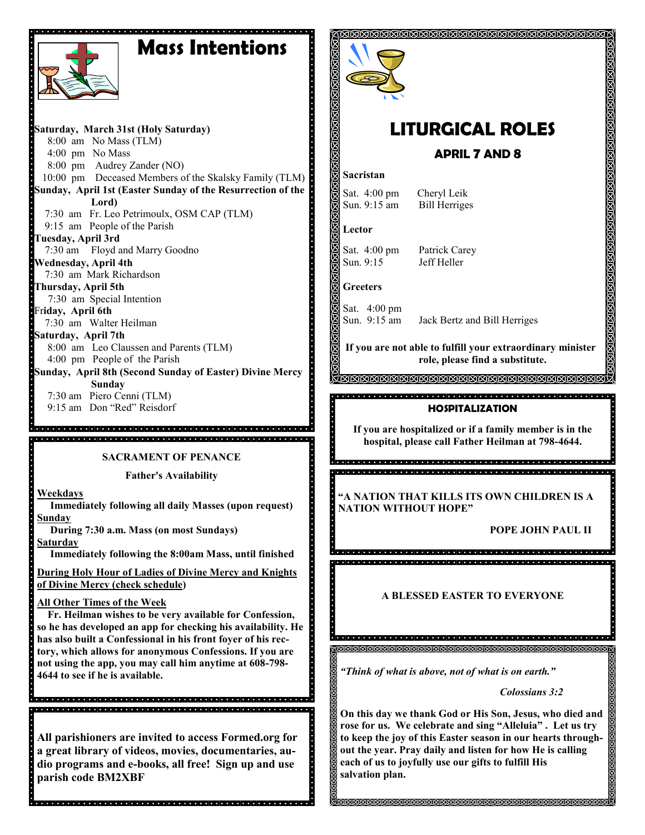# **Mass Intentions**



**Saturday, March 31st (Holy Saturday)** 8:00 am No Mass (TLM) 4:00 pm No Mass 8:00 pm Audrey Zander (NO) 10:00 pm Deceased Members of the Skalsky Family (TLM) **Sunday, April 1st (Easter Sunday of the Resurrection of the Lord)** 7:30 am Fr. Leo Petrimoulx, OSM CAP (TLM) 9:15 am People of the Parish **Tuesday, April 3rd** 7:30 am Floyd and Marry Goodno **Wednesday, April 4th** 7:30 am Mark Richardson **Thursday, April 5th** 7:30 am Special Intention Fr**iday, April 6th** 7:30 am Walter Heilman **Saturday, April 7th** 8:00 am Leo Claussen and Parents (TLM) 4:00 pm People of the Parish **Sunday, April 8th (Second Sunday of Easter) Divine Mercy Sunday** 7:30 am Piero Cenni (TLM) 9:15 am Don "Red" Reisdorf

e<br>Sacadoloj de operacio de la provincia de la decidad de decidad de la decidad de l 

**SACRAMENT OF PENANCE**

**Father's Availability**

**Weekdays**

 **Immediately following all daily Masses (upon request) Sunday**

 **During 7:30 a.m. Mass (on most Sundays) Saturday**

 **Immediately following the 8:00am Mass, until finished** 

**During Holy Hour of Ladies of Divine Mercy and Knights of Divine Mercy (check schedule)**

#### **All Other Times of the Week**

 **Fr. Heilman wishes to be very available for Confession, so he has developed an app for checking his availability. He has also built a Confessional in his front foyer of his rectory, which allows for anonymous Confessions. If you are not using the app, you may call him anytime at 608-798- 4644 to see if he is available.** 

**All parishioners are invited to access Formed.org for a great library of videos, movies, documentaries, audio programs and e-books, all free! Sign up and use parish code BM2XBF**

l dicipital dicipital di cipital dicipital di cipital di cipital dicipital di cipital di cipital di cipital di



# **LITURGICAL ROLES**

 **APRIL 7 AND 8**

#### **Sacristan**

Sat. 4:00 pm Cheryl Leik Sun. 9:15 am Bill Herriges

**Lector**

Sat. 4:00 pm Patrick Carey Sun. 9:15 Jeff Heller

**Greeters**

Sat. 4:00 pm

Sun. 9:15 am Jack Bertz and Bill Herriges

**If you are not able to fulfill your extraordinary minister role, please find a substitute.** 

<u>JAJAA KARAKA KARAKA KARAKA KARAKA KARAKA KA</u>

### **HOSPITALIZATION**

**If you are hospitalized or if a family member is in the hospital, please call Father Heilman at 798-4644.**

**"A NATION THAT KILLS ITS OWN CHILDREN IS A NATION WITHOUT HOPE"**

a plata plata plata plata, a plata plata plata plata a plata plata plata plata plata plata plata plata plata

**POPE JOHN PAUL II**

**A BLESSED EASTER TO EVERYONE**

*"Think of what is above, not of what is on earth."*

 *Colossians 3:2*

**On this day we thank God or His Son, Jesus, who died and rose for us. We celebrate and sing "Alleluia" . Let us try to keep the joy of this Easter season in our hearts throughout the year. Pray daily and listen for how He is calling each of us to joyfully use our gifts to fulfill His salvation plan.**